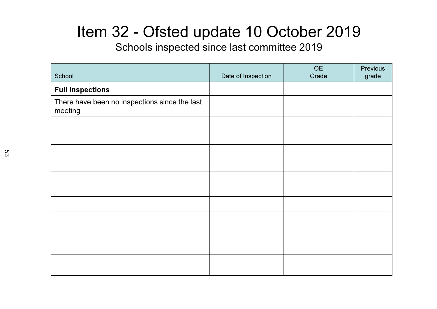### Item 32 - Ofsted update 10 October 2019

Schools inspected since last committee 2019

| School                                                   | Date of Inspection | <b>OE</b><br>Grade | Previous<br>grade |
|----------------------------------------------------------|--------------------|--------------------|-------------------|
| <b>Full inspections</b>                                  |                    |                    |                   |
| There have been no inspections since the last<br>meeting |                    |                    |                   |
|                                                          |                    |                    |                   |
|                                                          |                    |                    |                   |
|                                                          |                    |                    |                   |
|                                                          |                    |                    |                   |
|                                                          |                    |                    |                   |
|                                                          |                    |                    |                   |
|                                                          |                    |                    |                   |
|                                                          |                    |                    |                   |
|                                                          |                    |                    |                   |
|                                                          |                    |                    |                   |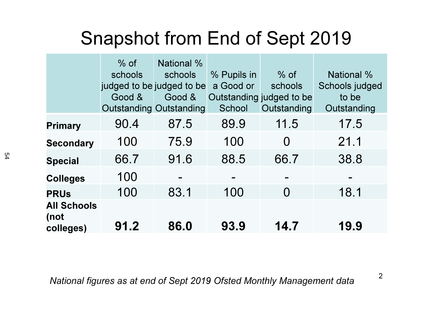# Snapshot from End of Sept 2019

|                                         | $%$ of<br>schools<br>judged to be judged to be<br>Good &<br><b>Outstanding Outstanding</b> | National %<br>schools<br>Good & | % Pupils in<br>a Good or<br>School | $%$ of<br>schools<br>Outstanding judged to be<br>Outstanding | <b>National %</b><br>Schools judged<br>to be<br>Outstanding |
|-----------------------------------------|--------------------------------------------------------------------------------------------|---------------------------------|------------------------------------|--------------------------------------------------------------|-------------------------------------------------------------|
| <b>Primary</b>                          | 90.4                                                                                       | 87.5                            | 89.9                               | 11.5                                                         | 17.5                                                        |
| <b>Secondary</b>                        | 100                                                                                        | 75.9                            | 100                                | $\Omega$                                                     | 21.1                                                        |
| <b>Special</b>                          | 66.7                                                                                       | 91.6                            | 88.5                               | 66.7                                                         | 38.8                                                        |
| <b>Colleges</b>                         | 100                                                                                        |                                 |                                    |                                                              |                                                             |
| <b>PRUs</b>                             | 100                                                                                        | 83.1                            | 100                                | $\Omega$                                                     | 18.1                                                        |
| <b>All Schools</b><br>(not<br>colleges) | 91.2                                                                                       | 86.0                            | 93.9                               | 14.7                                                         | 19.9                                                        |

National figures as at end of Sept 2019 Ofsted Monthly Management data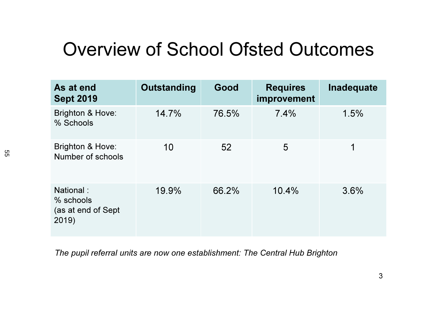## Overview of School Ofsted Outcomes

| As at end<br><b>Sept 2019</b>                         | Outstanding | Good  | <b>Requires</b><br>improvement | Inadequate |
|-------------------------------------------------------|-------------|-------|--------------------------------|------------|
| <b>Brighton &amp; Hove:</b><br>% Schools              | 14.7%       | 76.5% | 7.4%                           | 1.5%       |
| <b>Brighton &amp; Hove:</b><br>Number of schools      | 10          | 52    | 5                              | 1          |
| National:<br>% schools<br>(as at end of Sept<br>2019) | 19.9%       | 66.2% | 10.4%                          | 3.6%       |

The pupil referral units are now one establishment: The Central Hub Brighton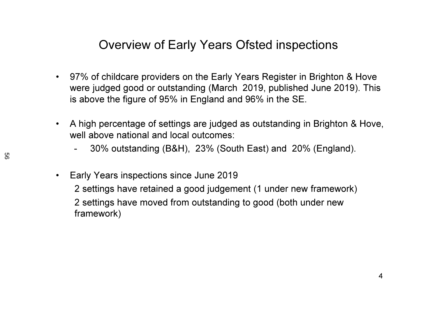#### Overview of Early Years Ofsted inspections

- 97% of childcare providers on the Early Years Register in Brighton & Hove were judged good or outstanding (March 2019, published June 2019). This is above the figure of 95% in England and 96% in the SE.
- $\bullet$  A high percentage of settings are judged as outstanding in Brighton & Hove, well above national and local outcomes:
	- -30% outstanding (B&H), 23% (South East) and 20% (England).
- $\bullet$  Early Years inspections since June 20192 settings have retained a good judgement (1 under new framework)2 settings have moved from outstanding to good (both under new framework)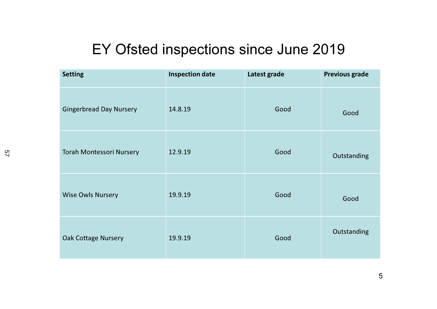#### EY Ofsted inspections since June 2019

| <b>Setting</b>                  | <b>Inspection date</b> | Latest grade | <b>Previous grade</b> |
|---------------------------------|------------------------|--------------|-----------------------|
| <b>Gingerbread Day Nursery</b>  | 14.8.19                | Good         | Good                  |
| <b>Torah Montessori Nursery</b> | 12.9.19                | Good         | Outstanding           |
| <b>Wise Owls Nursery</b>        | 19.9.19                | Good         | Good                  |
| <b>Oak Cottage Nursery</b>      | 19.9.19                | Good         | Outstanding           |